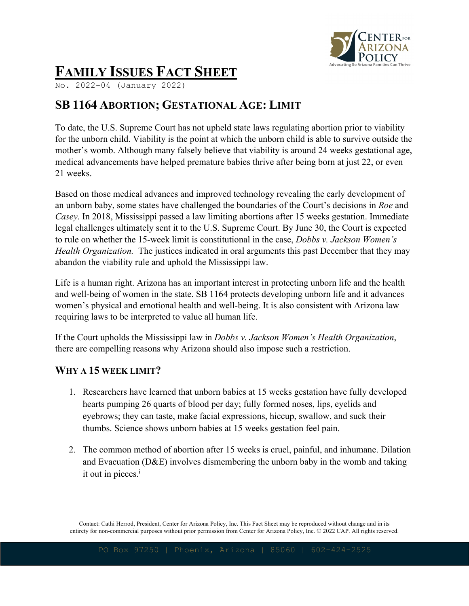

# **FAMILY ISSUES FACT SHEET**

No. 2022-04 (January 2022)

# **SB 1164 ABORTION; GESTATIONAL AGE: LIMIT**

To date, the U.S. Supreme Court has not upheld state laws regulating abortion prior to viability for the unborn child. Viability is the point at which the unborn child is able to survive outside the mother's womb. Although many falsely believe that viability is around 24 weeks gestational age, medical advancements have helped premature babies thrive after being born at just 22, or even 21 weeks.

Based on those medical advances and improved technology revealing the early development of an unborn baby, some states have challenged the boundaries of the Court's decisions in *Roe* and *Casey*. In 2018, Mississippi passed a law limiting abortions after 15 weeks gestation. Immediate legal challenges ultimately sent it to the U.S. Supreme Court. By June 30, the Court is expected to rule on whether the 15-week limit is constitutional in the case, *Dobbs v. Jackson Women's Health Organization.* The justices indicated in oral arguments this past December that they may abandon the viability rule and uphold the Mississippi law.

Life is a human right. Arizona has an important interest in protecting unborn life and the health and well-being of women in the state. SB 1164 protects developing unborn life and it advances women's physical and emotional health and well-being. It is also consistent with Arizona law requiring laws to be interpreted to value all human life.

If the Court upholds the Mississippi law in *Dobbs v. Jackson Women's Health Organization*, there are compelling reasons why Arizona should also impose such a restriction.

## **WHY A 15 WEEK LIMIT?**

- 1. Researchers have learned that unborn babies at 15 weeks gestation have fully developed hearts pumping 26 quarts of blood per day; fully formed noses, lips, eyelids and eyebrows; they can taste, make facial expressions, hiccup, swallow, and suck their thumbs. Science shows unborn babies at 15 weeks gestation feel pain.
- 2. The common method of abortion after 15 weeks is cruel, painful, and inhumane. Dilation and Evacuation (D&E) involves dismembering the unborn baby in the womb and taking it out in pieces. $<sup>i</sup>$ </sup>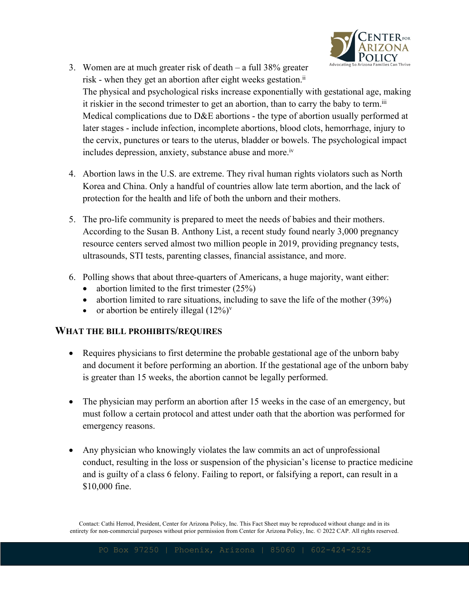

- 3. Women are at much greater risk of death a full 38% greater risk - when they get an abortion after eight weeks gestation. $i$ The physical and psychological risks increase exponentially with gestational age, making it riskier in the second trimester to get an abortion, than to carry the baby to term.<sup>iii</sup> Medical complications due to D&E abortions - the type of abortion usually performed at later stages - include infection, incomplete abortions, blood clots, hemorrhage, injury to the cervix, punctures or tears to the uterus, bladder or bowels. The psychological impact includes depression, anxiety, substance abuse and more.<sup>iv</sup>
- 4. Abortion laws in the U.S. are extreme. They rival human rights violators such as North Korea and China. Only a handful of countries allow late term abortion, and the lack of protection for the health and life of both the unborn and their mothers.
- 5. The pro-life community is prepared to meet the needs of babies and their mothers. According to the Susan B. Anthony List, a recent study found nearly 3,000 pregnancy resource centers served almost two million people in 2019, providing pregnancy tests, ultrasounds, STI tests, parenting classes, financial assistance, and more.
- 6. Polling shows that about three-quarters of Americans, a huge majority, want either:
	- abortion limited to the first trimester  $(25%)$
	- abortion limited to rare situations, including to save the life of the mother (39%)
	- or abortion be entirely illegal  $(12\%)^{\vee}$

#### **WHAT THE BILL PROHIBITS/REQUIRES**

- Requires physicians to first determine the probable gestational age of the unborn baby and document it before performing an abortion. If the gestational age of the unborn baby is greater than 15 weeks, the abortion cannot be legally performed.
- The physician may perform an abortion after 15 weeks in the case of an emergency, but must follow a certain protocol and attest under oath that the abortion was performed for emergency reasons.
- Any physician who knowingly violates the law commits an act of unprofessional conduct, resulting in the loss or suspension of the physician's license to practice medicine and is guilty of a class 6 felony. Failing to report, or falsifying a report, can result in a \$10,000 fine.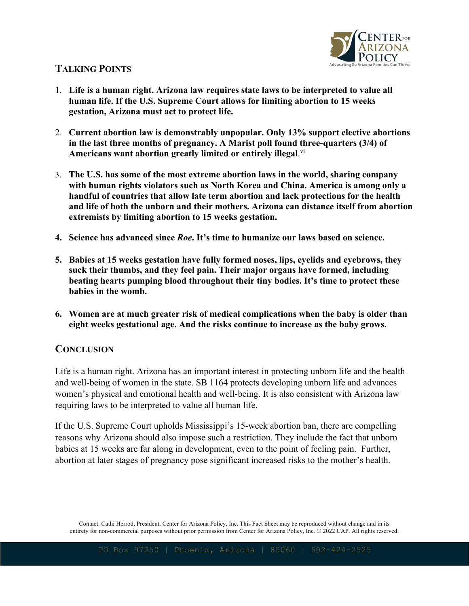

# **TALKING POINTS**

- 1. **Life is a human right. Arizona law requires state laws to be interpreted to value all human life. If the U.S. Supreme Court allows for limiting abortion to 15 weeks gestation, Arizona must act to protect life.**
- 2. **Current abortion law is demonstrably unpopular. Only 13% support elective abortions in the last three months of pregnancy. A Marist poll found three-quarters (3/4) of Americans want abortion greatly limited or entirely illegal**. vi
- 3. **The U.S. has some of the most extreme abortion laws in the world, sharing company with human rights violators such as North Korea and China. America is among only a handful of countries that allow late term abortion and lack protections for the health and life of both the unborn and their mothers. Arizona can distance itself from abortion extremists by limiting abortion to 15 weeks gestation.**
- **4. Science has advanced since** *Roe***. It's time to humanize our laws based on science.**
- **5. Babies at 15 weeks gestation have fully formed noses, lips, eyelids and eyebrows, they suck their thumbs, and they feel pain. Their major organs have formed, including beating hearts pumping blood throughout their tiny bodies. It's time to protect these babies in the womb.**
- **6. Women are at much greater risk of medical complications when the baby is older than eight weeks gestational age. And the risks continue to increase as the baby grows.**

## **CONCLUSION**

Life is a human right. Arizona has an important interest in protecting unborn life and the health and well-being of women in the state. SB 1164 protects developing unborn life and advances women's physical and emotional health and well-being. It is also consistent with Arizona law requiring laws to be interpreted to value all human life.

If the U.S. Supreme Court upholds Mississippi's 15-week abortion ban, there are compelling reasons why Arizona should also impose such a restriction. They include the fact that unborn babies at 15 weeks are far along in development, even to the point of feeling pain. Further, abortion at later stages of pregnancy pose significant increased risks to the mother's health.